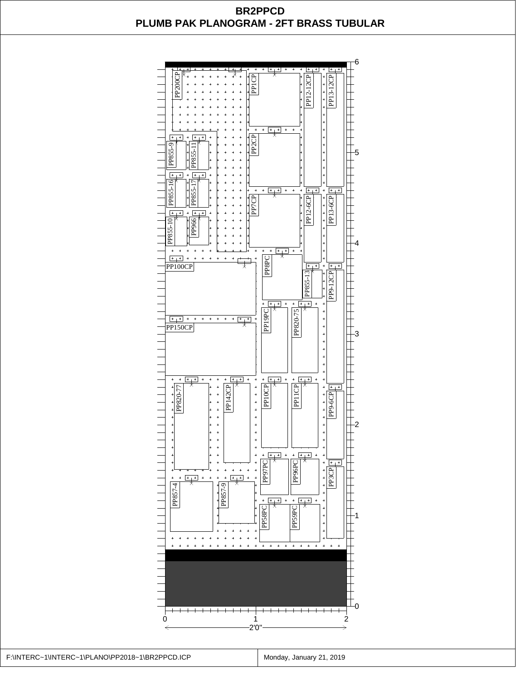